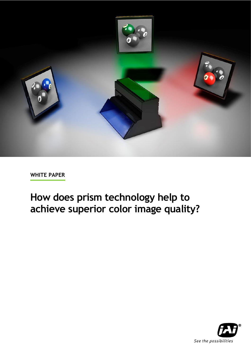

# **How does prism technology help to achieve superior color image quality?**

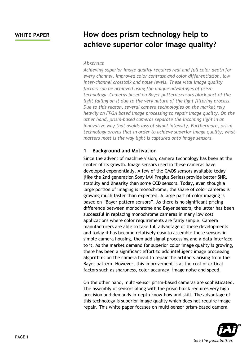## **WHITE PAPER How does prism technology help to achieve superior color image quality?**

### *Abstract*

*Achieving superior image quality requires real and full color depth for every channel, improved color contrast and color differentiation, low inter-channel crosstalk and noise levels. These vital image quality factors can be achieved using the unique advantages of prism technology. Cameras based on Bayer pattern sensors block part of the light falling on it due to the very nature of the light filtering process. Due to this reason, several camera technologies on the market rely heavily on FPGA based image processing to repair image quality. On the other hand, prism-based cameras separate the incoming light in an innovative way that avoids loss of signal intensity. Furthermore, prism technology proves that in order to achieve superior image quality, what matters most is the way light is captured onto image sensors.*

### **1 Background and Motivation**

Since the advent of machine vision, camera technology has been at the center of its growth. Image sensors used in these cameras have developed exponentially. A few of the CMOS sensors available today (like the 2nd generation Sony IMX Pregius Series) provide better SNR, stability and linearity than some CCD sensors. Today, even though a large portion of imaging is monochrome, the share of color cameras is growing much faster than expected. A large part of color imaging is based on "Bayer pattern sensors". As there is no significant pricing difference between monochrome and Bayer sensors, the latter has been successful in replacing monochrome cameras in many low cost applications where color requirements are fairly simple. Camera manufacturers are able to take full advantage of these developments and today it has become relatively easy to assemble these sensors in simple camera housing, then add signal processing and a data interface to it. As the market demand for superior color image quality is growing, there has been a significant effort to add intelligent image processing algorithms on the camera head to repair the artifacts arising from the Bayer pattern. However, this improvement is at the cost of critical factors such as sharpness, color accuracy, image noise and speed.

On the other hand, multi-sensor prism-based cameras are sophisticated. The assembly of sensors along with the prism block requires very high precision and demands in-depth know-how and skill. The advantage of this technology is superior image quality which does not require image repair. This white paper focuses on multi-sensor prism-based camera

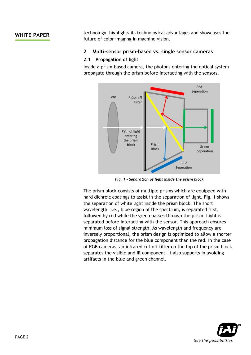**WHITE PAPER** technology, highlights its technological advantages and showcases the future of color imaging in machine vision.

### **2 Multi-sensor prism-based vs. single sensor cameras**

### **2.1 Propagation of light**

Inside a prism-based camera, the photons entering the optical system propagate through the prism before interacting with the sensors.



*Fig. 1 - Separation of light inside the prism block*

The prism block consists of multiple prisms which are equipped with hard dichroic coatings to assist in the separation of light. Fig. 1 shows the separation of white light inside the prism block. The short wavelength, i.e., blue region of the spectrum, is separated first, followed by red while the green passes through the prism. Light is separated before interacting with the sensor. This approach ensures minimum loss of signal strength. As wavelength and frequency are inversely proportional, the prism design is optimized to allow a shorter propagation distance for the blue component than the red. In the case of RGB cameras, an infrared cut off filter on the top of the prism block separates the visible and IR component. It also supports in avoiding artifacts in the blue and green channel.

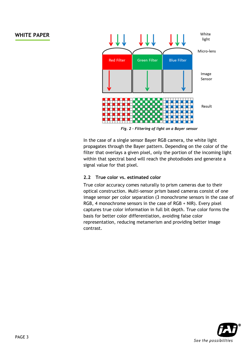

*Fig. 2 – Filtering of light on a Bayer sensor*

In the case of a single sensor Bayer RGB camera, the white light propagates through the Bayer pattern. Depending on the color of the filter that overlays a given pixel, only the portion of the incoming light within that spectral band will reach the photodiodes and generate a signal value for that pixel.

### **2.2 True color vs. estimated color**

True color accuracy comes naturally to prism cameras due to their optical construction. Multi-sensor prism based cameras consist of one image sensor per color separation (3 monochrome sensors in the case of RGB, 4 monochrome sensors in the case of RGB + NIR). Every pixel captures true color information in full bit depth. True color forms the basis for better color differentiation, avoiding false color representation, reducing metamerism and providing better image contrast.

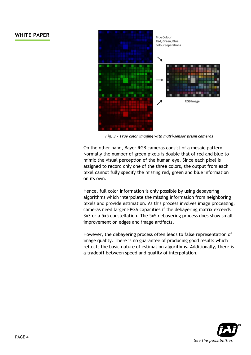

*Fig. 3 – True color imaging with multi-sensor prism cameras*

On the other hand, Bayer RGB cameras consist of a mosaic pattern. Normally the number of green pixels is double that of red and blue to mimic the visual perception of the human eye. Since each pixel is assigned to record only one of the three colors, the output from each pixel cannot fully specify the missing red, green and blue information on its own.

Hence, full color information is only possible by using debayering algorithms which interpolate the missing information from neighboring pixels and provide estimation. As this process involves image processing, cameras need larger FPGA capacities if the debayering matrix exceeds 3x3 or a 5x5 constellation. The 5x5 debayering process does show small improvement on edges and image artifacts.

However, the debayering process often leads to false representation of image quality. There is no guarantee of producing good results which reflects the basic nature of estimation algorithms. Additionally, there is a tradeoff between speed and quality of interpolation.

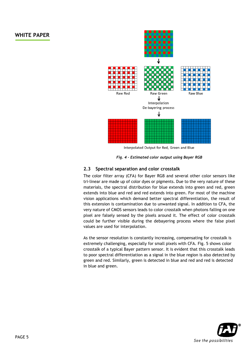

Interpolated Output for Red, Green and Blue

*Fig. 4 – Estimated color output using Bayer RGB*

### **2.3 Spectral separation and color crosstalk**

The color filter array (CFA) for Bayer RGB and several other color sensors like tri-linear are made up of color dyes or pigments. Due to the very nature of these materials, the spectral distribution for blue extends into green and red, green extends into blue and red and red extends into green. For most of the machine vision applications which demand better spectral differentiation, the result of this extension is contamination due to unwanted signal. In addition to CFA, the very nature of CMOS sensors leads to color crosstalk when photons falling on one pixel are falsely sensed by the pixels around it. The effect of color crosstalk could be further visible during the debayering process where the false pixel values are used for interpolation.

As the sensor resolution is constantly increasing, compensating for crosstalk is extremely challenging, especially for small pixels with CFA. Fig. 5 shows color crosstalk of a typical Bayer pattern sensor. It is evident that this crosstalk leads to poor spectral differentiation as a signal in the blue region is also detected by green and red. Similarly, green is detected in blue and red and red is detected in blue and green.

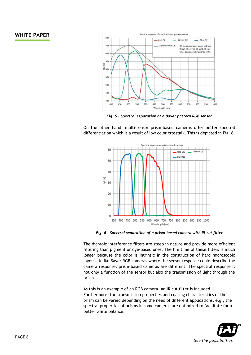

*Fig. 5 – Spectral separation of a Bayer pattern RGB sensor*

On the other hand, multi-sensor prism-based cameras offer better spectral differentiation which is a result of low color crosstalk. This is depicted in Fig. 6.



*Fig. 6 – Spectral separation of a prism-based camera with IR-cut filter*

The dichroic interference filters are steep in nature and provide more efficient filtering than pigment or dye-based ones. The life time of these filters is much longer because the color is intrinsic in the construction of hard microscopic layers. Unlike Bayer RGB cameras where the sensor response could describe the camera response, prism-based cameras are different. The spectral response is not only a function of the sensor but also the transmission of light through the prism.

As this is an example of an RGB camera, an IR cut filter is included. Furthermore, the transmission properties and coating characteristics of the prism can be varied depending on the need of different applications, e.g., the spectral properties of prisms in some cameras are optimized to facilitate for a better white balance.

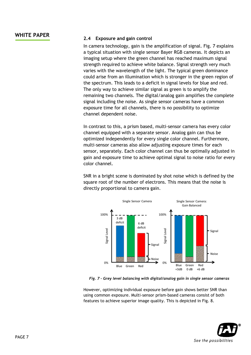## **WHITE PAPER 2.4 Exposure and gain control**

In camera technology, gain is the amplification of signal. Fig. 7 explains a typical situation with single sensor Bayer RGB cameras. It depicts an imaging setup where the green channel has reached maximum signal strength required to achieve white balance. Signal strength very much varies with the wavelength of the light. The typical green dominance could arise from an illumination which is stronger in the green region of the spectrum. This leads to a deficit in signal levels for blue and red. The only way to achieve similar signal as green is to amplify the remaining two channels. The digital/analog gain amplifies the complete signal including the noise. As single sensor cameras have a common exposure time for all channels, there is no possibility to optimize channel dependent noise.

In contrast to this, a prism based, multi-sensor camera has every color channel equipped with a separate sensor. Analog gain can thus be optimized independently for every single color channel. Furthermore, multi-sensor cameras also allow adjusting exposure times for each sensor, separately. Each color channel can thus be optimally adjusted in gain and exposure time to achieve optimal signal to noise ratio for every color channel.

SNR in a bright scene is dominated by shot noise which is defined by the square root of the number of electrons. This means that the noise is directly proportional to camera gain.



*Fig. 7 – Grey level balancing with digital/analog gain in single sensor cameras*

However, optimizing individual exposure before gain shows better SNR than using common exposure. Multi-sensor prism-based cameras consist of both features to achieve superior image quality. This is depicted in Fig. 8.

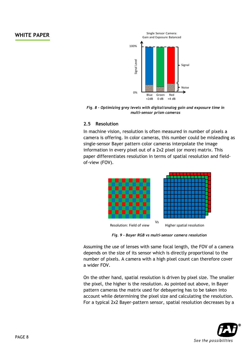

*Fig. 8 – Optimizing grey levels with digital/analog gain and exposure time in multi-sensor prism cameras*

### **2.5 Resolution**

In machine vision, resolution is often measured in number of pixels a camera is offering. In color cameras, this number could be misleading as single-sensor Bayer pattern color cameras interpolate the image information in every pixel out of a 2x2 pixel (or more) matrix. This paper differentiates resolution in terms of spatial resolution and fieldof-view (FOV).



*Fig. 9 - Bayer RGB vs multi-sensor camera resolution*

Assuming the use of lenses with same focal length, the FOV of a camera depends on the size of its sensor which is directly proportional to the number of pixels. A camera with a high pixel count can therefore cover a wider FOV.

On the other hand, spatial resolution is driven by pixel size. The smaller the pixel, the higher is the resolution. As pointed out above, in Bayer pattern cameras the matrix used for debayering has to be taken into account while determining the pixel size and calculating the resolution. For a typical 2x2 Bayer-pattern sensor, spatial resolution decreases by a

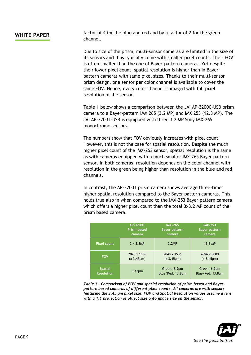**WHITE PAPER** factor of 4 for the blue and red and by a factor of 2 for the green channel.

> Due to size of the prism, multi-sensor cameras are limited in the size of its sensors and thus typically come with smaller pixel counts. Their FOV is often smaller than the one of Bayer-pattern cameras. Yet despite their lower pixel count, spatial resolution is higher than in Bayer pattern cameras with same pixel sizes. Thanks to their multi-sensor prism design, one sensor per color channel is available to cover the same FOV. Hence, every color channel is imaged with full pixel resolution of the sensor.

> Table 1 below shows a comparison between the JAI AP-3200C-USB prism camera to a Bayer-pattern IMX 265 (3.2 MP) and IMX 253 (12.3 MP). The JAI AP-3200T-USB is equipped with three 3.2 MP Sony IMX-265 monochrome sensors.

The numbers show that FOV obviously increases with pixel count. However, this is not the case for spatial resolution. Despite the much higher pixel count of the IMX-253 sensor, spatial resolution is the same as with cameras equipped with a much smaller IMX-265 Bayer pattern sensor. In both cameras, resolution depends on the color channel with resolution in the green being higher than resolution in the blue and red channels.

In contrast, the AP-3200T prism camera shows average three-times higher spatial resolution compared to the Bayer pattern cameras. This holds true also in when compared to the IMX-253 Bayer pattern camera which offers a higher pixel count than the total 3x3.2 MP count of the prism based camera.

|                    | AP-3200T         | <b>IMX-265</b>       | <b>IMX-253</b>       |
|--------------------|------------------|----------------------|----------------------|
|                    | Prism-based      | <b>Bayer pattern</b> | <b>Bayer pattern</b> |
|                    | camera           | camera               | camera               |
| <b>Pixel count</b> | $3 \times 3.2MP$ | 3.2MP                | 12.3 MP              |
| <b>FOV</b>         | 2048 x 1536      | 2048 x 1536          | 4096 x 3000          |
|                    | $(x 3.45 \mu m)$ | $(x 3.45 \mu m)$     | $(x 3.45 \mu m)$     |
| <b>Spatial</b>     | $3.45 \mu m$     | Green: 6.9µm         | Green: 6.9µm         |
| <b>Resolution</b>  |                  | Blue/Red: 13.8um     | Blue/Red: 13.8um     |

*Table 1 - Comparison of FOV and spatial resolution of prism based and Bayerpattern based cameras of different pixel counts. All cameras are with sensors featuring the 3.45 µm pixel size. FOV and Spatial Resolution values assume a lens with a 1:1 projection of object size onto image size on the sensor.*

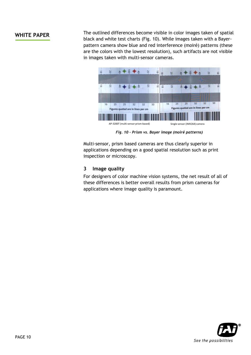**WHITE PAPER** The outlined differences become visible in color images taken of spatial black and white test charts (Fig. 10). While images taken with a Bayerpattern camera show blue and red interference (moiré) patterns (these are the colors with the lowest resolution), such artifacts are not visible in images taken with multi-sensor cameras.



*Fig. 10 – Prism vs. Bayer image (moiré patterns)*

Multi-sensor, prism based cameras are thus clearly superior in applications depending on a good spatial resolution such as print inspection or microscopy.

### **3 Image quality**

For designers of color machine vision systems, the net result of all of these differences is better overall results from prism cameras for applications where image quality is paramount.

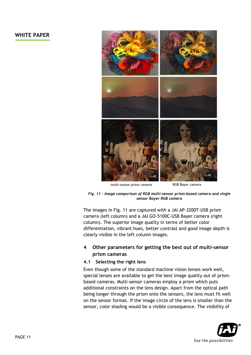

multi-sensor prism camera

RGB Bayer camera

*Fig. 11 – Image comparison of RGB multi-sensor prism-based camera and single sensor Bayer RGB camera*

The images in Fig. 11 are captured with a JAI AP-3200T-USB prism camera (left column) and a JAI GO-5100C-USB Bayer camera (right column). The superior image quality in terms of better color differentiation, vibrant hues, better contrast and good image depth is clearly visible in the left column images.

### **4 Other parameters for getting the best out of multi-sensor prism cameras**

### **4.1 Selecting the right lens**

Even though some of the standard machine vision lenses work well, special lenses are available to get the best image quality out of prismbased cameras. Multi-sensor cameras employ a prism which puts additional constraints on the lens design. Apart from the optical path being longer through the prism onto the sensors, the lens must fit well on the sensor format. If the image circle of the lens is smaller than the sensor, color shading would be a visible consequence. The visibility of

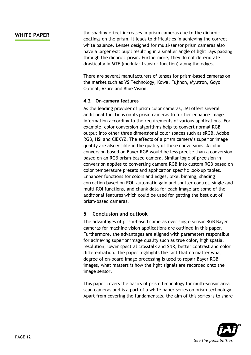**WHITE PAPER** the shading effect increases in prism cameras due to the dichroic coatings on the prism. It leads to difficulties in achieving the correct white balance. Lenses designed for multi-sensor prism cameras also have a larger exit pupil resulting in a smaller angle of light rays passing through the dichroic prism. Furthermore, they do not deteriorate drastically in MTF (modular transfer function) along the edges.

> There are several manufacturers of lenses for prism-based cameras on the market such as VS Technology, Kowa, Fujinon, Myutron, Goyo Optical, Azure and Blue Vision.

### **4.2 On-camera features**

As the leading provider of prism color cameras, JAI offers several additional functions on its prism cameras to further enhance image information according to the requirements of various applications. For example, color conversion algorithms help to convert normal RGB output into other three dimensional color spaces such as sRGB, Adobe RGB, HSI and CIEXYZ. The effects of a prism camera's superior image quality are also visible in the quality of these conversions. A color conversion based on Bayer RGB would be less precise than a conversion based on an RGB prism-based camera. Similar logic of precision in conversion applies to converting camera RGB into custom RGB based on color temperature presets and application specific look-up tables. Enhancer functions for colors and edges, pixel binning, shading correction based on ROI, automatic gain and shutter control, single and multi-ROI functions, and chunk data for each image are some of the additional features which could be used for getting the best out of prism-based cameras.

### **5 Conclusion and outlook**

The advantages of prism-based cameras over single sensor RGB Bayer cameras for machine vision applications are outlined in this paper. Furthermore, the advantages are aligned with parameters responsible for achieving superior image quality such as true color, high spatial resolution, lower spectral crosstalk and SNR, better contrast and color differentiation. The paper highlights the fact that no matter what degree of on-board image processing is used to repair Bayer RGB images, what matters is how the light signals are recorded onto the image sensor.

This paper covers the basics of prism technology for multi-sensor area scan cameras and is a part of a white paper series on prism technology. Apart from covering the fundamentals, the aim of this series is to share

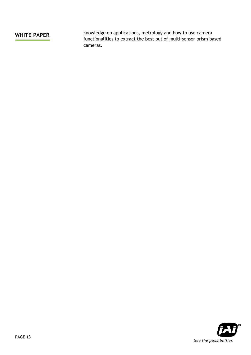**WHITE PAPER** knowledge on applications, metrology and how to use camera functionalities to extract the best out of multi-sensor prism based cameras.

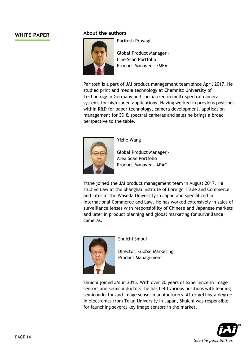### **WHITE PAPER About the authors**



Paritosh Prayagi

Global Product Manager – Line Scan Portfolio Product Manager - EMEA

Paritosh is a part of JAI product management team since April 2017. He studied print and media technology at Chemnitz University of Technology in Germany and specialized in multi-spectral camera systems for high speed applications. Having worked in previous positions within R&D for paper technology, camera development, application management for 3D & spectral cameras and sales he brings a broad perspective to the table.



Yizhe Wang

Global Product Manager – Area Scan Portfolio Product Manager - APAC

Yizhe joined the JAI product management team in August 2017. He studied Law at the Shanghai Institute of Foreign Trade and Commerce and later at the Waseda University in Japan and specialized in International Commerce and Law. He has worked extensively in sales of surveillance lenses with responsibility of Chinese and Japanese markets and later in product planning and global marketing for surveillance cameras.



Shuichi Shibui

Director, Global Marketing Product Management

Shuichi joined JAI in 2015. With over 20 years of experience in image sensors and semiconductors, he has held various positions with leading semiconductor and image sensor manufacturers. After getting a degree in electronics from Tokai University in Japan, Shuichi was responsible for launching several key image sensors in the market.